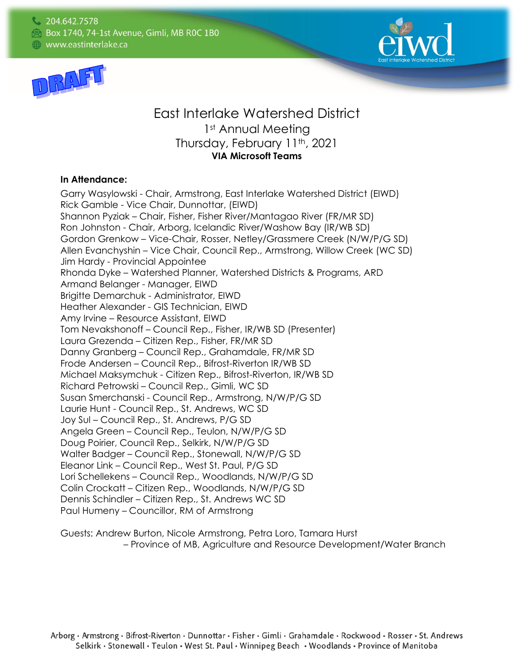



# East Interlake Watershed District 1st Annual Meeting Thursday, February 11th, 2021 **VIA Microsoft Teams**

#### **In Attendance:**

Garry Wasylowski - Chair, Armstrong, East Interlake Watershed District (EIWD) Rick Gamble - Vice Chair, Dunnottar, (EIWD) Shannon Pyziak – Chair, Fisher, Fisher River/Mantagao River (FR/MR SD) Ron Johnston - Chair, Arborg, Icelandic River/Washow Bay (IR/WB SD) Gordon Grenkow – Vice-Chair, Rosser, Netley/Grassmere Creek (N/W/P/G SD) Allen Evanchyshin – Vice Chair, Council Rep., Armstrong, Willow Creek (WC SD) Jim Hardy - Provincial Appointee Rhonda Dyke – Watershed Planner, Watershed Districts & Programs, ARD Armand Belanger - Manager, EIWD Brigitte Demarchuk - Administrator, EIWD Heather Alexander - GIS Technician, EIWD Amy Irvine – Resource Assistant, EIWD Tom Nevakshonoff – Council Rep., Fisher, IR/WB SD (Presenter) Laura Grezenda – Citizen Rep., Fisher, FR/MR SD Danny Granberg – Council Rep., Grahamdale, FR/MR SD Frode Andersen – Council Rep., Bifrost-Riverton IR/WB SD Michael Maksymchuk - Citizen Rep., Bifrost-Riverton, IR/WB SD Richard Petrowski – Council Rep., Gimli, WC SD Susan Smerchanski - Council Rep., Armstrong, N/W/P/G SD Laurie Hunt - Council Rep., St. Andrews, WC SD Joy Sul – Council Rep., St. Andrews, P/G SD Angela Green – Council Rep., Teulon, N/W/P/G SD Doug Poirier, Council Rep., Selkirk, N/W/P/G SD Walter Badger – Council Rep., Stonewall, N/W/P/G SD Eleanor Link – Council Rep., West St. Paul, P/G SD Lori Schellekens – Council Rep., Woodlands, N/W/P/G SD Colin Crockatt – Citizen Rep., Woodlands, N/W/P/G SD Dennis Schindler – Citizen Rep., St. Andrews WC SD Paul Humeny – Councillor, RM of Armstrong

Guests: Andrew Burton, Nicole Armstrong, Petra Loro, Tamara Hurst – Province of MB, Agriculture and Resource Development/Water Branch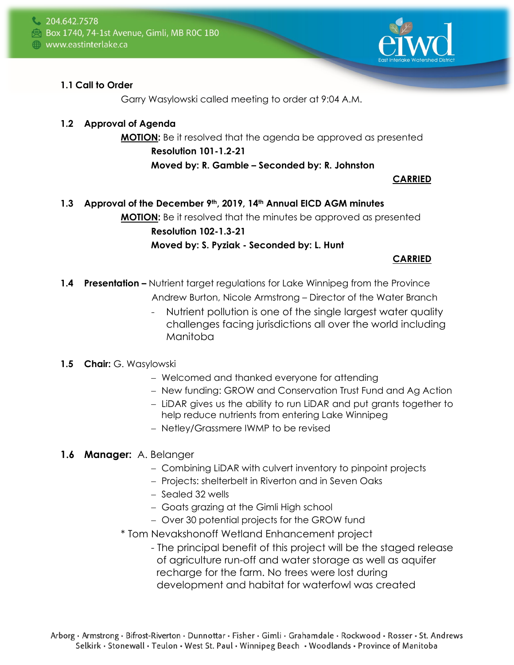

## **1.1 Call to Order**

Garry Wasylowski called meeting to order at 9:04 A.M.

## **1.2 Approval of Agenda**

**MOTION:** Be it resolved that the agenda be approved as presented **Resolution 101-1.2-21**

 **Moved by: R. Gamble – Seconded by: R. Johnston**

**CARRIED**

# **1.3 Approval of the December 9th, 2019, 14th Annual EICD AGM minutes MOTION:** Be it resolved that the minutes be approved as presented **Resolution 102-1.3-21**

**Moved by: S. Pyziak - Seconded by: L. Hunt**

### **CARRIED**

- **1.4 Presentation –** Nutrient target regulations for Lake Winnipeg from the Province Andrew Burton, Nicole Armstrong – Director of the Water Branch
	- Nutrient pollution is one of the single largest water quality challenges facing jurisdictions all over the world including Manitoba

## **1.5 Chair:** G. Wasylowski

- − Welcomed and thanked everyone for attending
- − New funding: GROW and Conservation Trust Fund and Ag Action
- − LiDAR gives us the ability to run LiDAR and put grants together to help reduce nutrients from entering Lake Winnipeg
- − Netley/Grassmere IWMP to be revised

## **1.6 Manager:** A. Belanger

- − Combining LiDAR with culvert inventory to pinpoint projects
- − Projects: shelterbelt in Riverton and in Seven Oaks
- − Sealed 32 wells
- − Goats grazing at the Gimli High school
- − Over 30 potential projects for the GROW fund
- \* Tom Nevakshonoff Wetland Enhancement project
	- The principal benefit of this project will be the staged release of agriculture run-off and water storage as well as aquifer recharge for the farm. No trees were lost during development and habitat for waterfowl was created